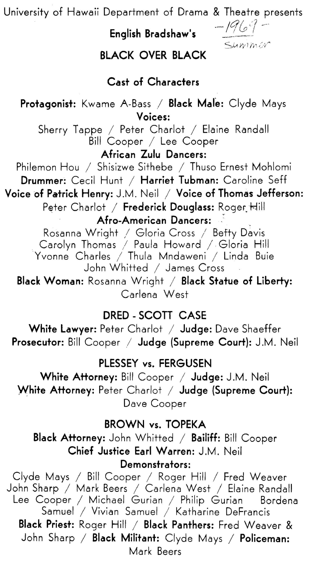University of Hawaii Department of Drama & Theatre presents

**English Bradshaw's** 

/ /?/ ~ *,·?* --·· ·- r.."/0 <sup>I</sup> Summer

## **BLACK OVER BLACK**

## **Cast of Characters**

**Protagonist:** Kwame A-Bass / **Black Male:** Clyde Mays **Voices:** 

Sherry Tappe / Peter Chariot / Elaine Randall Bill Cooper / Lee Cooper

**African Zulu Dancers:** 

Philemon Hou / Shisizwe Sithebe / Thuso Ernest Mohlomi **Drummer:** Cecil Hunt / **Harriet Tubman:** Caroline Seff

**Voice of Patrick Henry:** J.M. Neil / **Voice of Thomas Jefferson:**  Peter Charlot / Frederick Douglass: Roger Hill

**Afro-American Dancers:** \_:

Rosanna Wright / Gloria Cross / Befty Davis . Carolyn Thomas / Paula Howard *I.* Gloria Hill Yvonne Charles / Thula Mndaweni / Linda Buie John Whitted / James Cross

**Black Woman:** Rosanna Wright / **Black Statue of Liberty:** Carlena West

## **DRED - SCOTI CASE**

**White Lawyer:** Peter Charlot / Judge: Dave Shaeffer **Prosecutor:** Bill Cooper / **Judge (Supreme Court}:** J.M. Neil

#### **PLESSEY vs. FERGUSEN**

White Attorney: Bill Cooper / Judge: J.M. Neil **White Attorney: Peter Charlot / Judge (Supreme Court):** Dave Cooper

#### **BROWN vs. TOPEKA**

**Black Attorney:** John Whitted / Bailiff: Bill Cooper **Chief Justice Earl Warren: J.M. Neil Demonstrators:** 

Clyde Mays / Bill Cooper / Roger Hill / Fred Weaver John Sharp / Mark Beers / Carlena West / Elaine Randall Lee Cooper I Michael Gurian I Philip Gurian Bordena Samuel / Vivian Samuel / Katharine DeFrancis **Black Priest:** Roger Hill / Black Panthers: Fred Weaver & John Sharp / Black Militant: Clyde Mays / Policeman: Mark Beers